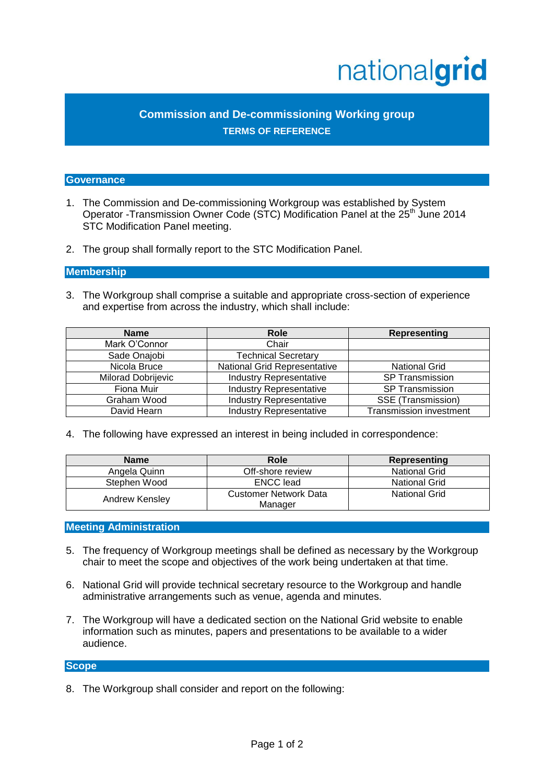# nationalgrid

# **Commission and De-commissioning Working group TERMS OF REFERENCE**

#### **Governance**

- 1. The Commission and De-commissioning Workgroup was established by System Operator -Transmission Owner Code (STC) Modification Panel at the 25<sup>th</sup> June 2014 STC Modification Panel meeting.
- 2. The group shall formally report to the STC Modification Panel.

### **Membership**

3. The Workgroup shall comprise a suitable and appropriate cross-section of experience and expertise from across the industry, which shall include:

| <b>Name</b>               | <b>Role</b>                         | Representing                   |
|---------------------------|-------------------------------------|--------------------------------|
| Mark O'Connor             | Chair                               |                                |
| Sade Onajobi              | <b>Technical Secretary</b>          |                                |
| Nicola Bruce              | <b>National Grid Representative</b> | <b>National Grid</b>           |
| <b>Milorad Dobrijevic</b> | <b>Industry Representative</b>      | SP Transmission                |
| Fiona Muir                | <b>Industry Representative</b>      | <b>SP Transmission</b>         |
| Graham Wood               | <b>Industry Representative</b>      | SSE (Transmission)             |
| David Hearn               | <b>Industry Representative</b>      | <b>Transmission investment</b> |

4. The following have expressed an interest in being included in correspondence:

| <b>Name</b>    | Role                                    | Representing         |
|----------------|-----------------------------------------|----------------------|
| Angela Quinn   | Off-shore review                        | <b>National Grid</b> |
| Stephen Wood   | <b>ENCC</b> lead                        | <b>National Grid</b> |
| Andrew Kensley | <b>Customer Network Data</b><br>Manager | <b>National Grid</b> |

#### **Meeting Administration**

- 5. The frequency of Workgroup meetings shall be defined as necessary by the Workgroup chair to meet the scope and objectives of the work being undertaken at that time.
- 6. National Grid will provide technical secretary resource to the Workgroup and handle administrative arrangements such as venue, agenda and minutes.
- 7. The Workgroup will have a dedicated section on the National Grid website to enable information such as minutes, papers and presentations to be available to a wider audience.

#### **Scope**

8. The Workgroup shall consider and report on the following: